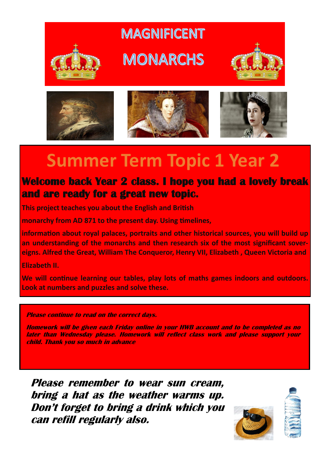

## **MAGNIFICENT**







## **Summer Term Topic 1 Year 2**

## **Welcome back Year 2 class. I hope you had a lovely break and are ready for a great new topic.**

**This project teaches you about the English and British** 

**monarchy from AD 871 to the present day. Using timelines,** 

**information about royal palaces, portraits and other historical sources, you will build up an understanding of the monarchs and then research six of the most significant sovereigns. Alfred the Great, William The Conqueror, Henry VII, Elizabeth , Queen Victoria and** 

**Elizabeth II.** 

**We will continue learning our tables, play lots of maths games indoors and outdoors. Look at numbers and puzzles and solve these.** 

**Please continue to read on the correct days.**

**Homework will be given each Friday online in your HWB account and to be completed as no later than Wednesday please. Homework will reflect class work and please support your child. Thank you so much in advance**

**Please remember to wear sun cream, bring a hat as the weather warms up. Don't forget to bring a drink which you can refill regularly also.**